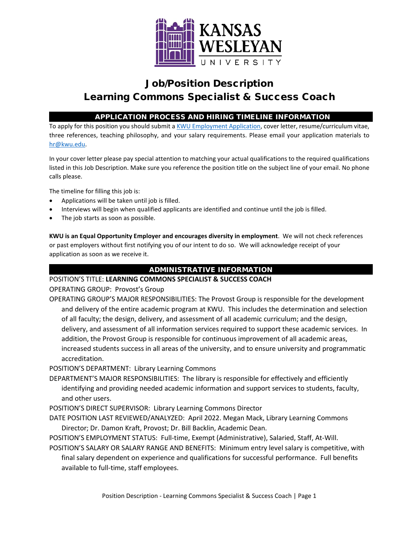

# Job/Position Description Learning Commons Specialist & Success Coach

## APPLICATION PROCESS AND HIRING TIMELINE INFORMATION

To apply for this position you should submit [a KWU Employment Application,](https://www.kwu.edu/wp-content/uploads/Employment-Application-Form-ELECTRONIC-Revised-3-.pdf) cover letter, resume/curriculum vitae, three references, teaching philosophy, and your salary requirements. Please email your application materials to [hr@kwu.edu.](mailto:hr@kwu.edu)

In your cover letter please pay special attention to matching your actual qualifications to the required qualifications listed in this Job Description. Make sure you reference the position title on the subject line of your email. No phone calls please.

The timeline for filling this job is:

- Applications will be taken until job is filled.
- Interviews will begin when qualified applicants are identified and continue until the job is filled.
- The job starts as soon as possible.

**KWU is an Equal Opportunity Employer and encourages diversity in employment**. We will not check references or past employers without first notifying you of our intent to do so. We will acknowledge receipt of your application as soon as we receive it.

## ADMINISTRATIVE INFORMATION

#### POSITION'S TITLE: **LEARNING COMMONS SPECIALIST & SUCCESS COACH**

OPERATING GROUP: Provost's Group

OPERATING GROUP'S MAJOR RESPONSIBILITIES: The Provost Group is responsible for the development and delivery of the entire academic program at KWU. This includes the determination and selection of all faculty; the design, delivery, and assessment of all academic curriculum; and the design, delivery, and assessment of all information services required to support these academic services. In addition, the Provost Group is responsible for continuous improvement of all academic areas, increased students success in all areas of the university, and to ensure university and programmatic accreditation.

POSITION'S DEPARTMENT: Library Learning Commons

- DEPARTMENT'S MAJOR RESPONSIBILITIES: The library is responsible for effectively and efficiently identifying and providing needed academic information and support services to students, faculty, and other users.
- POSITION'S DIRECT SUPERVISOR: Library Learning Commons Director
- DATE POSITION LAST REVIEWED/ANALYZED: April 2022. Megan Mack, Library Learning Commons Director; Dr. Damon Kraft, Provost; Dr. Bill Backlin, Academic Dean.

POSITION'S EMPLOYMENT STATUS: Full-time, Exempt (Administrative), Salaried, Staff, At-Will.

POSITION'S SALARY OR SALARY RANGE AND BENEFITS: Minimum entry level salary is competitive, with final salary dependent on experience and qualifications for successful performance. Full benefits available to full-time, staff employees.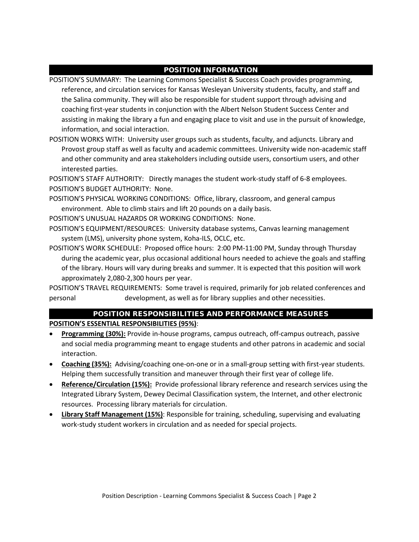## POSITION INFORMATION

POSITION'S SUMMARY: The Learning Commons Specialist & Success Coach provides programming, reference, and circulation services for Kansas Wesleyan University students, faculty, and staff and the Salina community. They will also be responsible for student support through advising and coaching first-year students in conjunction with the Albert Nelson Student Success Center and assisting in making the library a fun and engaging place to visit and use in the pursuit of knowledge, information, and social interaction.

POSITION WORKS WITH: University user groups such as students, faculty, and adjuncts. Library and Provost group staff as well as faculty and academic committees. University wide non-academic staff and other community and area stakeholders including outside users, consortium users, and other interested parties.

POSITION'S STAFF AUTHORITY: Directly manages the student work-study staff of 6-8 employees. POSITION'S BUDGET AUTHORITY: None.

POSITION'S PHYSICAL WORKING CONDITIONS: Office, library, classroom, and general campus environment. Able to climb stairs and lift 20 pounds on a daily basis.

POSITION'S UNUSUAL HAZARDS OR WORKING CONDITIONS: None.

- POSITION'S EQUIPMENT/RESOURCES: University database systems, Canvas learning management system (LMS), university phone system, Koha-ILS, OCLC, etc.
- POSITION'S WORK SCHEDULE: Proposed office hours: 2:00 PM-11:00 PM, Sunday through Thursday during the academic year, plus occasional additional hours needed to achieve the goals and staffing of the library. Hours will vary during breaks and summer. It is expected that this position will work approximately 2,080-2,300 hours per year.

POSITION'S TRAVEL REQUIREMENTS: Some travel is required, primarily for job related conferences and personal development, as well as for library supplies and other necessities.

# POSITION RESPONSIBILITIES AND PERFORMANCE MEASURES

**POSITION'S ESSENTIAL RESPONSIBILITIES (95%)**:

- **Programming (30%):** Provide in-house programs, campus outreach, off-campus outreach, passive and social media programming meant to engage students and other patrons in academic and social interaction.
- **Coaching (35%):** Advising/coaching one-on-one or in a small-group setting with first-year students. Helping them successfully transition and maneuver through their first year of college life.
- **Reference/Circulation (15%):** Provide professional library reference and research services using the Integrated Library System, Dewey Decimal Classification system, the Internet, and other electronic resources. Processing library materials for circulation.
- **Library Staff Management (15%)**: Responsible for training, scheduling, supervising and evaluating work-study student workers in circulation and as needed for special projects.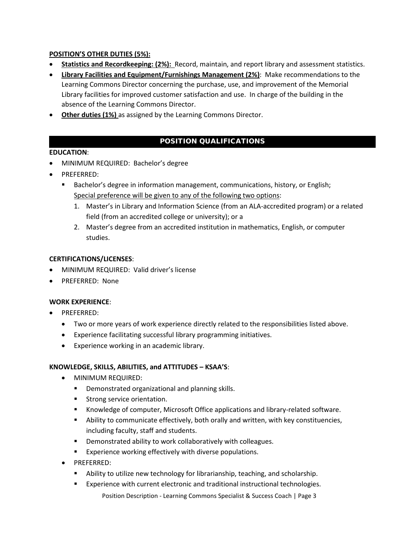## **POSITION'S OTHER DUTIES (5%):**

- **Statistics and Recordkeeping: (2%):** Record, maintain, and report library and assessment statistics.
- **Library Facilities and Equipment/Furnishings Management (2%)**: Make recommendations to the Learning Commons Director concerning the purchase, use, and improvement of the Memorial Library facilities for improved customer satisfaction and use. In charge of the building in the absence of the Learning Commons Director.
- **Other duties (1%)** as assigned by the Learning Commons Director.

## POSITION QUALIFICATIONS

### **EDUCATION**:

- MINIMUM REQUIRED: Bachelor's degree
- PREFERRED:
	- Bachelor's degree in information management, communications, history, or English; Special preference will be given to any of the following two options:
		- 1. Master's in Library and Information Science (from an ALA-accredited program) or a related field (from an accredited college or university); or a
		- 2. Master's degree from an accredited institution in mathematics, English, or computer studies.

#### **CERTIFICATIONS/LICENSES**:

- MINIMUM REQUIRED: Valid driver's license
- PREFERRED: None

#### **WORK EXPERIENCE**:

- PREFERRED:
	- Two or more years of work experience directly related to the responsibilities listed above.
	- Experience facilitating successful library programming initiatives.
	- Experience working in an academic library.

#### **KNOWLEDGE, SKILLS, ABILITIES, and ATTITUDES – KSAA'S**:

- MINIMUM REQUIRED:
	- **•** Demonstrated organizational and planning skills.
	- **Strong service orientation.**
	- Knowledge of computer, Microsoft Office applications and library-related software.
	- Ability to communicate effectively, both orally and written, with key constituencies, including faculty, staff and students.
	- **Demonstrated ability to work collaboratively with colleagues.**
	- **Experience working effectively with diverse populations.**
- PREFERRED:
	- **Ability to utilize new technology for librarianship, teaching, and scholarship.**
	- Experience with current electronic and traditional instructional technologies.
		- Position Description Learning Commons Specialist & Success Coach | Page 3